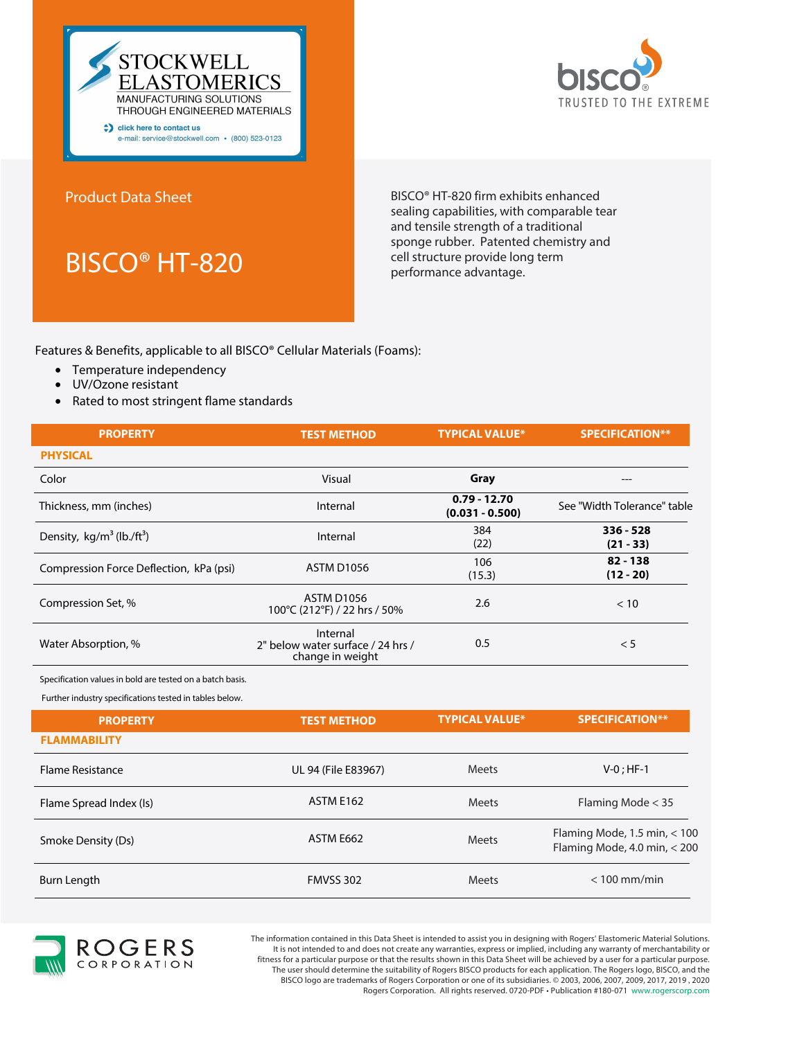



Product Data Sheet

BISCO® HT-820

BISCO® HT-820 firm exhibits enhanced sealing capabilities, with comparable tear and tensile strength of a traditional sponge rubber. Patented chemistry and cell structure provide long term performance advantage.

Features & Benefits, applicable to all BISCO® Cellular Materials (Foams):

- Temperature independency
- UV/Ozone resistant
- Rated to most stringent flame standards

| <b>PROPERTY</b>                          | <b>TEST METHOD</b>                                                | <b>TYPICAL VALUE*</b>               | <b>SPECIFICATION**</b>      |
|------------------------------------------|-------------------------------------------------------------------|-------------------------------------|-----------------------------|
| <b>PHYSICAL</b>                          |                                                                   |                                     |                             |
| Color                                    | Visual                                                            | Gray                                |                             |
| Thickness, mm (inches)                   | Internal                                                          | $0.79 - 12.70$<br>$(0.031 - 0.500)$ | See "Width Tolerance" table |
| Density, $kg/m^3$ (lb./ft <sup>3</sup> ) | Internal                                                          | 384<br>(22)                         | $336 - 528$<br>$(21 - 33)$  |
| Compression Force Deflection, kPa (psi)  | <b>ASTM D1056</b>                                                 | 106<br>(15.3)                       | $82 - 138$<br>$(12 - 20)$   |
| Compression Set, %                       | ASTM D1056<br>100°C (212°F) / 22 hrs / 50%                        | 2.6                                 | < 10                        |
| Water Absorption, %                      | Internal<br>2" below water surface / 24 hrs /<br>change in weight | 0.5                                 | < 5                         |

Specification values in bold are tested on a batch basis.

Further industry specifications tested in tables below.

| <b>PROPERTY</b>         | <b>TEST METHOD</b>  | <b>TYPICAL VALUE*</b> | <b>SPECIFICATION**</b>                                         |
|-------------------------|---------------------|-----------------------|----------------------------------------------------------------|
| <b>FLAMMABILITY</b>     |                     |                       |                                                                |
| <b>Flame Resistance</b> | UL 94 (File E83967) | <b>Meets</b>          | $V-0$ ; HF-1                                                   |
| Flame Spread Index (Is) | <b>ASTM E162</b>    | Meets                 | Flaming Mode $<$ 35                                            |
| Smoke Density (Ds)      | ASTM E662           | <b>Meets</b>          | Flaming Mode, 1.5 min, $<$ 100<br>Flaming Mode, 4.0 min, < 200 |
| Burn Length             | <b>FMVSS 302</b>    | <b>Meets</b>          | $< 100$ mm/min                                                 |



The information contained in this Data Sheet is intended to assist you in designing with Rogers' Elastomeric Material Solutions. It is not intended to and does not create any warranties, express or implied, including any warranty of merchantability or fitness for a particular purpose or that the results shown in this Data Sheet will be achieved by a user for a particular purpose. The user should determine the suitability of Rogers BISCO products for each application. The Rogers logo, BISCO, and the BISCO logo are trademarks of Rogers Corporation or one of its subsidiaries. © 2003, 2006, 2007, 2009, 2017, 2019 , 2020 Rogers Corporation. All rights reserved. 0720-PDF • Publication #180-071 www.rogerscorp.com